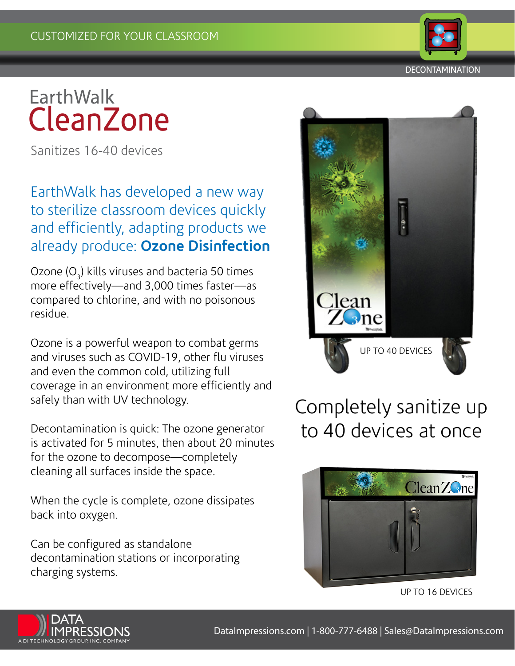

## **EarthWalk CleanZone**

Sanitizes 16-40 devices

#### EarthWalk has developed a new way to sterilize classroom devices quickly and efficiently, adapting products we already produce: **Ozone Disinfection**

Ozone (O<sub>3</sub>) kills viruses and bacteria 50 times more effectively—and 3,000 times faster—as compared to chlorine, and with no poisonous residue.

Ozone is a powerful weapon to combat germs and viruses such as COVID-19, other flu viruses and even the common cold, utilizing full coverage in an environment more efficiently and safely than with UV technology.

Decontamination is quick: The ozone generator is activated for 5 minutes, then about 20 minutes for the ozone to decompose—completely cleaning all surfaces inside the space.

When the cycle is complete, ozone dissipates back into oxygen.

Can be configured as standalone decontamination stations or incorporating charging systems.



### Completely sanitize up to 40 devices at once



UP TO 16 DEVICES